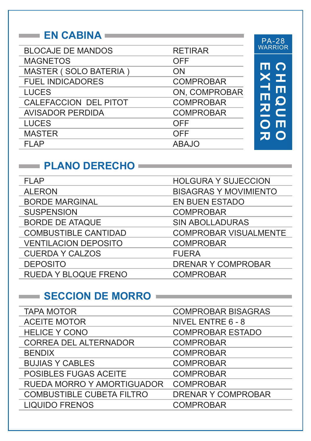#### **EN CABINA**

| <b>BLOCAJE DE MANDOS</b> | <b>RETIRAR</b>   |
|--------------------------|------------------|
| <b>MAGNETOS</b>          | OFF              |
| MASTER (SOLO BATERIA)    | ON               |
| <b>FUEL INDICADORES</b>  | <b>COMPROBAR</b> |
| <b>LUCES</b>             | ON, COMPROBAR    |
| CALEFACCION DEL PITOT    | <b>COMPROBAR</b> |
| <b>AVISADOR PERDIDA</b>  | <b>COMPROBAR</b> |
| <b>LUCES</b>             | OFF              |
| <b>MASTER</b>            | OFF              |
| FI AP                    | <b>ABAJO</b>     |
|                          |                  |

**EXTERIOR**

**CHEQUEO**

**CHEQUEO**<br>EXTERIOR

PA-28 WARRIOR

#### **PLANO DERECHO**

| <b>FLAP</b>                 | <b>HOLGURA Y SUJECCION</b>   |
|-----------------------------|------------------------------|
| <b>ALERON</b>               | <b>BISAGRAS Y MOVIMIENTO</b> |
| <b>BORDE MARGINAL</b>       | <b>EN BUEN ESTADO</b>        |
| <b>SUSPENSION</b>           | <b>COMPROBAR</b>             |
| <b>BORDE DE ATAQUE</b>      | <b>SIN ABOLLADURAS</b>       |
| <b>COMBUSTIBLE CANTIDAD</b> | <b>COMPROBAR VISUALMENTE</b> |
| <b>VENTILACION DEPOSITO</b> | <b>COMPROBAR</b>             |
| <b>CUERDA Y CALZOS</b>      | <b>FUERA</b>                 |
| <b>DEPOSITO</b>             | <b>DRENAR Y COMPROBAR</b>    |
| RUEDA Y BLOQUE FRENO        | <b>COMPROBAR</b>             |

#### SECCION DE MORRO

| <b>TAPA MOTOR</b>                | <b>COMPROBAR BISAGRAS</b> |
|----------------------------------|---------------------------|
| <b>ACEITE MOTOR</b>              | NIVEL ENTRE 6 - 8         |
| <b>HELICE Y CONO</b>             | <b>COMPROBAR ESTADO</b>   |
| <b>CORREA DEL ALTERNADOR</b>     | <b>COMPROBAR</b>          |
| <b>BENDIX</b>                    | <b>COMPROBAR</b>          |
| <b>BUJIAS Y CABLES</b>           | <b>COMPROBAR</b>          |
| POSIBLES FUGAS ACEITE            | <b>COMPROBAR</b>          |
| RUEDA MORRO Y AMORTIGUADOR       | <b>COMPROBAR</b>          |
| <b>COMBUSTIBLE CUBETA FILTRO</b> | <b>DRENAR Y COMPROBAR</b> |
| <b>LIQUIDO FRENOS</b>            | <b>COMPROBAR</b>          |
|                                  |                           |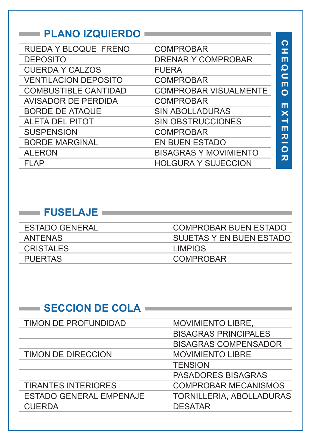#### **PLANO IZQUIERDO**

| O      |
|--------|
| I      |
| ш      |
| O      |
| c<br>ш |
| O      |
|        |
| m<br>× |
| ᅴ      |
| ш      |
| 刀      |
| O      |
| 刀      |
|        |

#### **FUSELAJE**

| <b>ESTADO GENERAL</b> | <b>COMPROBAR BUEN ESTADO</b> |
|-----------------------|------------------------------|
| <b>ANTENAS</b>        | SUJETAS Y EN BUEN ESTADO     |
| <b>CRISTALES</b>      | <b>LIMPIOS</b>               |
| <b>PUERTAS</b>        | <b>COMPROBAR</b>             |

| <b>SECCION DE COLA</b>         |                             |
|--------------------------------|-----------------------------|
| TIMON DE PROFUNDIDAD           | MOVIMIENTO LIBRE,           |
|                                | <b>BISAGRAS PRINCIPALES</b> |
|                                | <b>BISAGRAS COMPENSADOR</b> |
| <b>TIMON DE DIRECCION</b>      | <b>MOVIMIENTO LIBRE</b>     |
|                                | <b>TENSION</b>              |
|                                | <b>PASADORES BISAGRAS</b>   |
| <b>TIRANTES INTERIORES</b>     | <b>COMPROBAR MECANISMOS</b> |
| <b>ESTADO GENERAL EMPENAJE</b> | TORNILLERIA, ABOLLADURAS    |
| <b>CUERDA</b>                  | <b>DESATAR</b>              |
|                                |                             |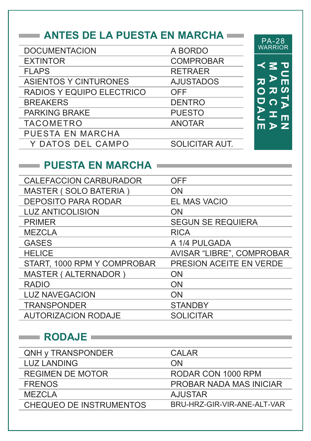## **ANTES DE LA PUESTA EN MARCHA**

| <b>DOCUMENTACION</b>         | A BORDO               |
|------------------------------|-----------------------|
| <b>EXTINTOR</b>              | <b>COMPROBAR</b>      |
| <b>FLAPS</b>                 | <b>RETRAER</b>        |
| <b>ASIENTOS Y CINTURONES</b> | <b>AJUSTADOS</b>      |
| RADIOS Y EQUIPO ELECTRICO    | OFF                   |
| <b>BREAKERS</b>              | <b>DENTRO</b>         |
| <b>PARKING BRAKE</b>         | <b>PUESTO</b>         |
| <b>TACOMETRO</b>             | <b>ANOTAR</b>         |
| <b>PUESTA EN MARCHA</b>      |                       |
| Y DATOS DEL CAMPO            | <b>SOLICITAR AUT.</b> |
|                              |                       |

#### $\overline{C}$ くそ **Y RODAJE** MARCHA<br>ARCHA **PUESTA EN**  $\overline{\bm{x}}$ Π<br>ω  $\Omega$  $\overline{\mathbf{v}}$  $\overline{\Omega}$  $\overline{\mathbf{C}}$  $\blacktriangleright$ ᅚᆞᆖ  $\tilde{\mathbf{C}}$  $m > Z$

PA-28 WARRIOR

#### **PUESTA EN MARCHA =**

| <b>CALEFACCION CARBURADOR</b> | OFF                       |
|-------------------------------|---------------------------|
| <b>MASTER (SOLO BATERIA)</b>  | ON                        |
| <b>DEPOSITO PARA RODAR</b>    | EL MAS VACIO              |
| <b>LUZ ANTICOLISION</b>       | <b>ON</b>                 |
| <b>PRIMER</b>                 | <b>SEGUN SE REQUIERA</b>  |
| <b>MEZCLA</b>                 | <b>RICA</b>               |
| <b>GASES</b>                  | A 1/4 PULGADA             |
| <b>HELICE</b>                 | AVISAR "LIBRE", COMPROBAR |
| START, 1000 RPM Y COMPROBAR   | PRESION ACEITE EN VERDE   |
| MASTER (ALTERNADOR)           | ON                        |
| <b>RADIO</b>                  | <b>ON</b>                 |
| <b>LUZ NAVEGACION</b>         | <b>ON</b>                 |
| <b>TRANSPONDER</b>            | <b>STANDBY</b>            |
| <b>AUTORIZACION RODAJE</b>    | <b>SOLICITAR</b>          |

#### **RODAJE**

| QNH y TRANSPONDER       | CALAR                       |
|-------------------------|-----------------------------|
| <b>LUZ LANDING</b>      | ON                          |
| REGIMEN DE MOTOR        | RODAR CON 1000 RPM          |
| <b>FRENOS</b>           | PROBAR NADA MAS INICIAR     |
| <b>MEZCLA</b>           | <b>AJUSTAR</b>              |
| CHEQUEO DE INSTRUMENTOS | BRU-HRZ-GIR-VIR-ANE-ALT-VAR |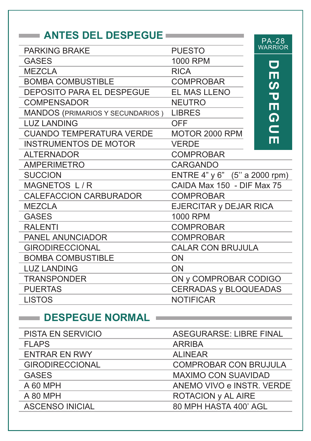### **ANTES DEL DESPEGUE**

|                                         |                               | <b>PA-28</b>          |
|-----------------------------------------|-------------------------------|-----------------------|
| <b>PARKING BRAKE</b>                    | <b>PUESTO</b>                 | <b>WARRIOR</b>        |
| <b>GASES</b>                            | 1000 RPM                      | $\blacksquare$        |
| <b>MEZCLA</b>                           | <b>RICA</b>                   | m                     |
| <b>BOMBA COMBUSTIBLE</b>                | <b>COMPROBAR</b>              | $\boldsymbol{\omega}$ |
| <b>DEPOSITO PARA EL DESPEGUE</b>        | EL MAS LLENO                  | ᠊ᢦ                    |
| <b>COMPENSADOR</b>                      | <b>NEUTRO</b>                 | Ш                     |
| MANDOS (PRIMARIOS Y SECUNDARIOS) LIBRES |                               | <u>ဂ</u>              |
| <b>LUZ LANDING</b>                      | <b>OFF</b>                    |                       |
| <b>CUANDO TEMPERATURA VERDE</b>         | MOTOR 2000 RPM                | $\blacksquare$        |
| <b>INSTRUMENTOS DE MOTOR</b>            | <b>VERDE</b>                  | Ш                     |
| <b>ALTERNADOR</b>                       | <b>COMPROBAR</b>              |                       |
| <b>AMPERIMETRO</b>                      | <b>CARGANDO</b>               |                       |
| <b>SUCCION</b>                          | ENTRE 4" y 6" (5" a 2000 rpm) |                       |
| MAGNETOS L/R                            | CAIDA Max 150 - DIF Max 75    |                       |
| <b>CALEFACCION CARBURADOR</b>           | <b>COMPROBAR</b>              |                       |
| <b>MEZCLA</b>                           | EJERCITAR y DEJAR RICA        |                       |
| <b>GASES</b>                            | <b>1000 RPM</b>               |                       |
| <b>RALENTI</b>                          | <b>COMPROBAR</b>              |                       |
| <b>PANEL ANUNCIADOR</b>                 | <b>COMPROBAR</b>              |                       |
| <b>GIRODIRECCIONAL</b>                  | <b>CALAR CON BRUJULA</b>      |                       |
| <b>BOMBA COMBUSTIBLE</b>                | <b>ON</b>                     |                       |
| <b>LUZ LANDING</b>                      | <b>ON</b>                     |                       |
| <b>TRANSPONDER</b>                      | ON y COMPROBAR CODIGO         |                       |
| <b>PUERTAS</b>                          | <b>CERRADAS y BLOQUEADAS</b>  |                       |
| <b>LISTOS</b>                           | <b>NOTIFICAR</b>              |                       |

#### **DESPEGUE NORMAL**

| PISTA EN SERVICIO      | <b>ASEGURARSE: LIBRE FINAL</b> |
|------------------------|--------------------------------|
| <b>FLAPS</b>           | <b>ARRIBA</b>                  |
| <b>ENTRAR EN RWY</b>   | <b>ALINEAR</b>                 |
| <b>GIRODIRECCIONAL</b> | <b>COMPROBAR CON BRUJULA</b>   |
| <b>GASES</b>           | <b>MAXIMO CON SUAVIDAD</b>     |
| A 60 MPH               | ANEMO VIVO e INSTR. VERDE      |
| A 80 MPH               | ROTACION y AL AIRE             |
| <b>ASCENSO INICIAL</b> | 80 MPH HASTA 400' AGL          |
|                        |                                |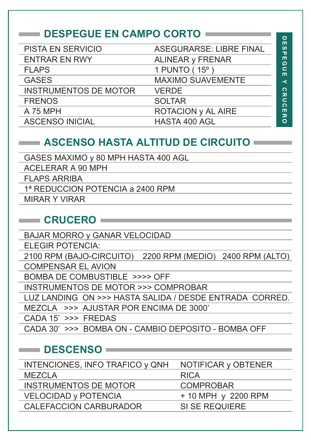## **DESPEGUE EN CAMPO CORTO**

| PISTA EN SERVICIO            | <b>ASEGURARSE: LIBRE FINAL</b> | DESPE          |
|------------------------------|--------------------------------|----------------|
| <b>ENTRAR EN RWY</b>         | ALINEAR y FRENAR               |                |
| <b>FLAPS</b>                 | 1 PUNTO (15°)                  | <u>ဝ</u> ါ     |
| <b>GASES</b>                 | <b>MAXIMO SUAVEMENTE</b>       | ≺              |
| <b>INSTRUMENTOS DE MOTOR</b> | <b>VERDE</b>                   |                |
| <b>FRENOS</b>                | <b>SOLTAR</b>                  |                |
| A 75 MPH                     | ROTACION y AL AIRE             | <b>CRUCERO</b> |
| <b>ASCENSO INICIAL</b>       | HASTA 400 AGL                  |                |

 $\Box$ 

#### **ASCENSO HASTA ALTITUD DE CIRCUITO**

GASES MAXIMO y 80 MPH HASTA 400 AGL

ACELERAR A 90 MPH

FLAPS ARRIBA

1ª REDUCCION POTENCIA a 2400 RPM

MIRAR Y VIRAR

#### **CRUCERO**

BAJAR MORRO y GANAR VELOCIDAD ELEGIR POTENCIA: 2100 RPM (BAJO-CIRCUITO) 2200 RPM (MEDIO) 2400 RPM (ALTO) COMPENSAR EL AVION BOMBA DE COMBUSTIBLE >>>> OFF INSTRUMENTOS DE MOTOR >>> COMPROBAR LUZ LANDING ON >>> HASTA SALIDA / DESDE ENTRADA CORRED. MEZCLA >>> AJUSTAR POR ENCIMA DE 3000' CADA 15' >>> FREDAS CADA 30' >>> BOMBA ON - CAMBIO DEPOSITO - BOMBA OFF

#### **DESCENSO**

| INTENCIONES, INFO TRAFICO y QNH | NOTIFICAR y OBTENER |
|---------------------------------|---------------------|
| <b>MEZCLA</b>                   | <b>RICA</b>         |
| <b>INSTRUMENTOS DE MOTOR</b>    | <b>COMPROBAR</b>    |
| <b>VELOCIDAD y POTENCIA</b>     | + 10 MPH y 2200 RPM |
| CALEFACCION CARBURADOR          | SI SE REQUIERE      |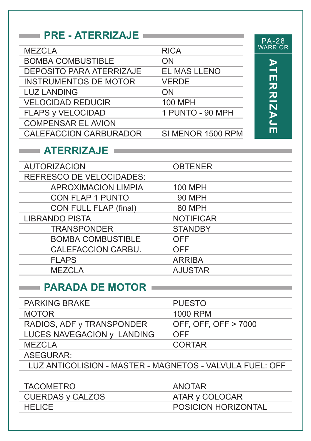#### **PRE - ATERRIZAJE**

| <b>MEZCLA</b>                   | <b>RICA</b>       |
|---------------------------------|-------------------|
| <b>BOMBA COMBUSTIBLE</b>        | ON                |
| <b>DEPOSITO PARA ATERRIZAJE</b> | EL MAS LLENO      |
| <b>INSTRUMENTOS DE MOTOR</b>    | <b>VERDE</b>      |
| <b>LUZ LANDING</b>              | ON                |
| <b>VELOCIDAD REDUCIR</b>        | <b>100 MPH</b>    |
| <b>FLAPS y VELOCIDAD</b>        | 1 PUNTO - 90 MPH  |
| <b>COMPENSAR EL AVION</b>       |                   |
| <b>CALEFACCION CARBURADOR</b>   | SI MENOR 1500 RPM |
|                                 |                   |

# PA-28 WARRIOR **ATERRIZAJE ATERRIZAJE**

#### **ATERRIZAJE**

| <b>AUTORIZACION</b>             | <b>OBTENER</b>   |
|---------------------------------|------------------|
| <b>REFRESCO DE VELOCIDADES:</b> |                  |
| <b>APROXIMACION LIMPIA</b>      | 100 MPH          |
| <b>CON FLAP 1 PUNTO</b>         | <b>90 MPH</b>    |
| CON FULL FLAP (final)           | 80 MPH           |
| <b>LIBRANDO PISTA</b>           | <b>NOTIFICAR</b> |
| <b>TRANSPONDER</b>              | <b>STANDBY</b>   |
| <b>BOMBA COMBUSTIBLE</b>        | <b>OFF</b>       |
| CALEFACCION CARBU.              | <b>OFF</b>       |
| <b>FLAPS</b>                    | <b>ARRIBA</b>    |
| <b>MEZCLA</b>                   | <b>AJUSTAR</b>   |
|                                 |                  |

#### **PARADA DE MOTOR**

| <b>PARKING BRAKE</b>                                     | <b>PUESTO</b>        |
|----------------------------------------------------------|----------------------|
| <b>MOTOR</b>                                             | 1000 RPM             |
| RADIOS, ADF y TRANSPONDER                                | OFF, OFF, OFF > 7000 |
| LUCES NAVEGACION y LANDING                               | <b>OFF</b>           |
| <b>MEZCLA</b>                                            | <b>CORTAR</b>        |
| ASEGURAR:                                                |                      |
| LUZ ANTICOLISION - MASTER - MAGNETOS - VALVULA FUEL: OFF |                      |
|                                                          |                      |

TACOMETRO CUERDAS y CALZOS **HELICE** ANOTAR ATAR y COLOCAR POSICION HORIZONTAL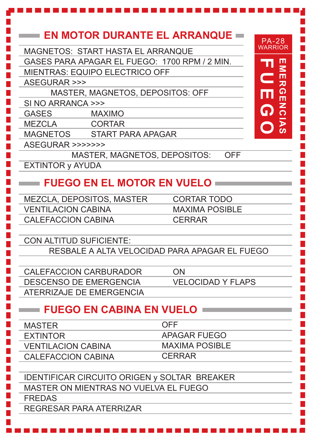| MAGNETOS: START HASTA EL ARRANQUE<br>GASES PARA APAGAR EL FUEGO: 1700 RPM / 2 MIN.<br><b>MIENTRAS: EQUIPO ELECTRICO OFF</b> | EN MOTOR DURANTE EL ARRANQUE =<br><b>PA-28</b><br><b>WARRIOR</b><br>四<br>「四<br>$\mathbf \subset$ |
|-----------------------------------------------------------------------------------------------------------------------------|--------------------------------------------------------------------------------------------------|
| <b>ASEGURAR &gt;&gt;&gt;</b><br>MASTER, MAGNETOS, DEPOSITOS: OFF                                                            |                                                                                                  |
| SI NO ARRANCA >>>                                                                                                           | $\frac{\Omega}{\Pi}$<br>lul                                                                      |
| <b>GASES</b><br><b>MAXIMO</b>                                                                                               | $\frac{z}{0}$<br>G                                                                               |
| MEZCLA<br><b>CORTAR</b>                                                                                                     |                                                                                                  |
| MAGNETOS START PARA APAGAR                                                                                                  | <b>AS</b>                                                                                        |
| ASEGURAR >>>>>>>                                                                                                            |                                                                                                  |
|                                                                                                                             | MASTER, MAGNETOS, DEPOSITOS:<br><b>OFF</b>                                                       |
| <b>EXTINTOR y AYUDA</b>                                                                                                     |                                                                                                  |
|                                                                                                                             |                                                                                                  |
| <b>FUEGO EN EL MOTOR EN VUELO</b>                                                                                           |                                                                                                  |
| MEZCLA, DEPOSITOS, MASTER                                                                                                   | <b>CORTAR TODO</b>                                                                               |
| <b>VENTILACION CABINA</b>                                                                                                   | <b>MAXIMA POSIBLE</b>                                                                            |
| <b>CALEFACCION CABINA</b>                                                                                                   | <b>CERRAR</b>                                                                                    |
|                                                                                                                             |                                                                                                  |
| CON ALTITUD SUFICIENTE:                                                                                                     |                                                                                                  |
|                                                                                                                             | RESBALE A ALTA VELOCIDAD PARA APAGAR EL FUEGO                                                    |
|                                                                                                                             |                                                                                                  |
| <b>CALEFACCION CARBURADOR</b>                                                                                               | ON                                                                                               |
| DESCENSO DE EMERGENCIA                                                                                                      | <b>VELOCIDAD Y FLAPS</b>                                                                         |
| ATERRIZAJE DE EMERGENCIA                                                                                                    |                                                                                                  |
| <b>FUEGO EN CABINA EN VUELO</b>                                                                                             |                                                                                                  |
| <b>MASTER</b>                                                                                                               | <b>OFF</b>                                                                                       |
| <b>EXTINTOR</b>                                                                                                             | APAGAR FUEGO                                                                                     |
| <b>VENTILACION CABINA</b>                                                                                                   | <b>MAXIMA POSIBLE</b>                                                                            |
| <b>CALEFACCION CABINA</b>                                                                                                   | <b>CERRAR</b>                                                                                    |
|                                                                                                                             |                                                                                                  |
| <b>IDENTIFICAR CIRCUITO ORIGEN y SOLTAR BREAKER</b>                                                                         |                                                                                                  |
| MASTER ON MIENTRAS NO VUELVA EL FUEGO                                                                                       |                                                                                                  |
| <b>FREDAS</b>                                                                                                               |                                                                                                  |
| REGRESAR PARA ATERRIZAR                                                                                                     |                                                                                                  |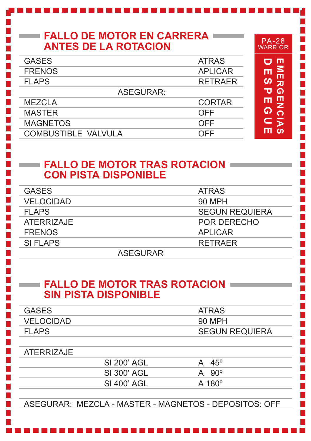## **FALLO DE MOTOR EN CARRERA ANTES DE LA ROTACION**

| <b>GASES</b>               | <b>ATRAS</b>   |
|----------------------------|----------------|
| <b>FRENOS</b>              | <b>APLICAR</b> |
| <b>FLAPS</b>               | <b>RETRAER</b> |
| <b>ASEGURAR:</b>           |                |
| <b>MEZCLA</b>              | <b>CORTAR</b>  |
| <b>MASTER</b>              | OFF            |
| <b>MAGNETOS</b>            | OFF            |
| <b>COMBUSTIBLE VALVULA</b> | OFF            |
|                            |                |

#### **FALLO DE MOTOR TRAS ROTACION CON PISTA DISPONIBLE**

| <b>GASES</b>     |          | <b>ATRAS</b>          |
|------------------|----------|-----------------------|
| <b>VELOCIDAD</b> |          | 90 MPH                |
| <b>FLAPS</b>     |          | <b>SEGUN REQUIERA</b> |
| ATERRIZAJE       |          | POR DERECHO           |
| <b>FRENOS</b>    |          | <b>APLICAR</b>        |
| SI FLAPS         |          | <b>RFTRAFR</b>        |
|                  | ASEGURAR |                       |

#### **FALLO DE MOTOR TRAS ROTACION SIN PISTA DISPONIBLE**

| <b>ATRAS</b>          |
|-----------------------|
| 90 MPH                |
| <b>SEGUN REQUIERA</b> |
|                       |

#### ATERRIZAJE

| SI 200' AGL | A | $45^\circ$          |
|-------------|---|---------------------|
| SI 300' AGL |   | $A$ 90 <sup>o</sup> |
| SI 400' AGL |   | $A$ 180 $^{\circ}$  |
|             |   |                     |

ASEGURAR: MEZCLA - MASTER - MAGNETOS - DEPOSITOS: OFF

PA-28 WARRIOR

**EMERGENCIAS**<br>DESPEGUE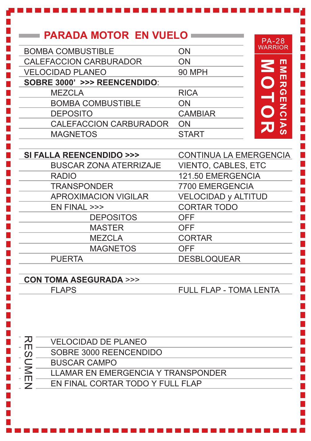# **PARADA MOTOR EN VUELO**

| <b>BOMBA COMBUSTIBLE</b>      | ON             |
|-------------------------------|----------------|
| CALEFACCION CARBURADOR        | ON             |
| <b>VELOCIDAD PLANEO</b>       | <b>90 MPH</b>  |
| SOBRE 3000' >>> REENCENDIDO:  |                |
| <b>MEZCLA</b>                 | <b>RICA</b>    |
| <b>BOMBA COMBUSTIBLE</b>      | ON             |
| <b>DEPOSITO</b>               | <b>CAMBIAR</b> |
| <b>CALEFACCION CARBURADOR</b> | ON             |
| <b>MAGNETOS</b>               | <b>START</b>   |
|                               |                |



| SI FALLA REENCENDIDO >>>      | <b>CONTINUA LA EMERGENCIA</b> |
|-------------------------------|-------------------------------|
| <b>BUSCAR ZONA ATERRIZAJE</b> | <b>VIENTO, CABLES, ETC</b>    |
| <b>RADIO</b>                  | 121.50 EMERGENCIA             |
| <b>TRANSPONDER</b>            | 7700 EMERGENCIA               |
| <b>APROXIMACION VIGILAR</b>   | <b>VELOCIDAD y ALTITUD</b>    |
| EN FINAL >>>                  | <b>CORTAR TODO</b>            |
| <b>DEPOSITOS</b>              | <b>OFF</b>                    |
| <b>MASTER</b>                 | <b>OFF</b>                    |
| <b>MEZCLA</b>                 | <b>CORTAR</b>                 |
| <b>MAGNETOS</b>               | <b>OFF</b>                    |
| <b>PUERTA</b>                 | <b>DESBLOQUEAR</b>            |

#### **CON TOMA ASEGURADA** >>> FLAPS

FULL FLAP - TOMA LENTA

刀 RESUMEN VELOCIDAD DE PLANEO m

SOBRE 3000 REENCENDIDO

BUSCAR CAMPO

SUME<br>SUME LLAMAR EN EMERGENCIA Y TRANSPONDER

EN FINAL CORTAR TODO Y FULL FLAP